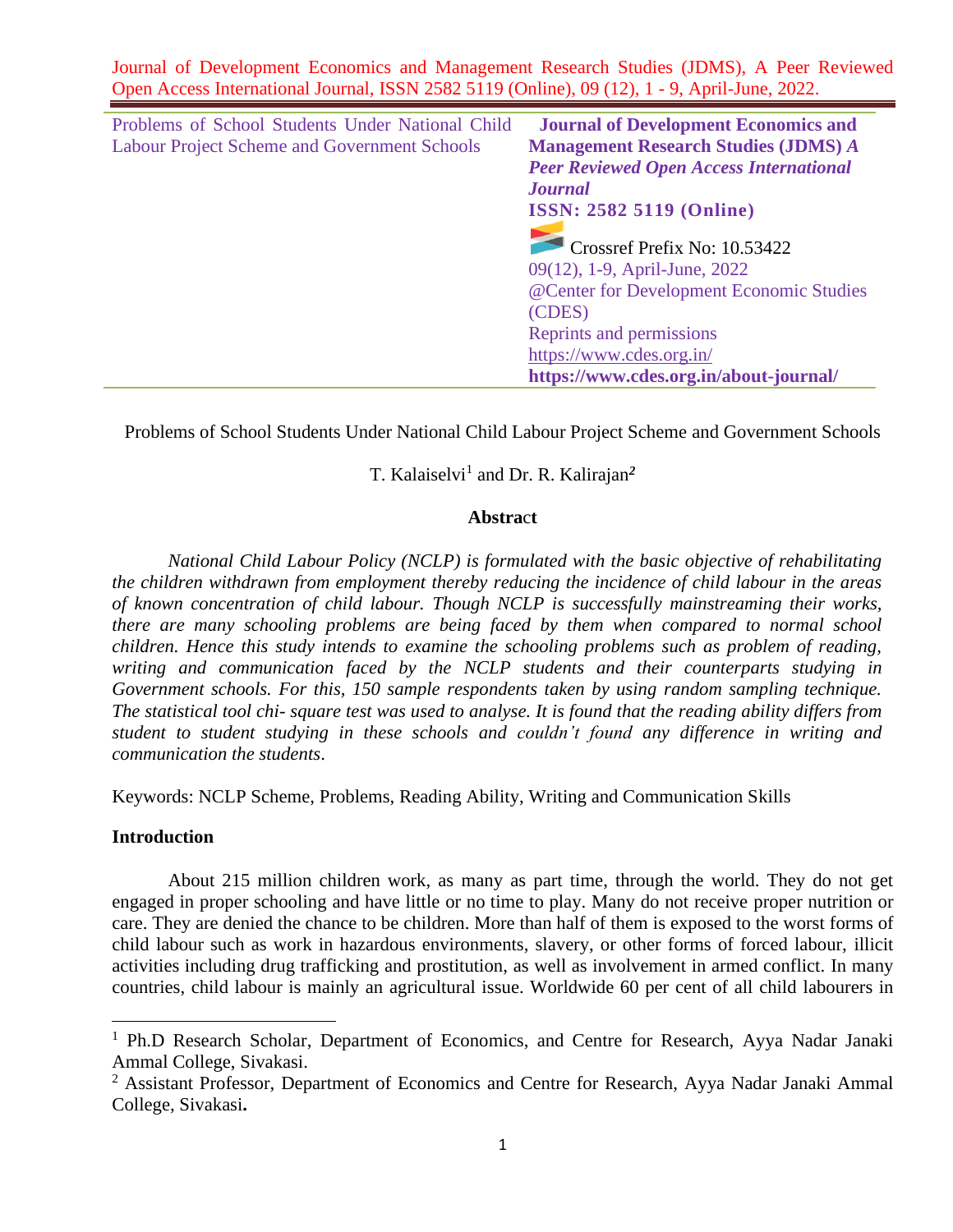| Problems of School Students Under National Child    | <b>Journal of Development Economics and</b>    |
|-----------------------------------------------------|------------------------------------------------|
| <b>Labour Project Scheme and Government Schools</b> | <b>Management Research Studies (JDMS) A</b>    |
|                                                     | <b>Peer Reviewed Open Access International</b> |
|                                                     | <b>Journal</b>                                 |
|                                                     | <b>ISSN: 2582 5119 (Online)</b>                |
|                                                     | Crossref Prefix No: 10.53422                   |
|                                                     | 09(12), 1-9, April-June, 2022                  |
|                                                     | @Center for Development Economic Studies       |
|                                                     | (CDES)                                         |
|                                                     | Reprints and permissions                       |
|                                                     | https://www.cdes.org.in/                       |
|                                                     | https://www.cdes.org.in/about-journal/         |

Problems of School Students Under National Child Labour Project Scheme and Government Schools

# T. Kalaiselvi<sup>1</sup> and Dr. R. Kalirajan<sup>2</sup>

#### **Abstra**c**t**

*National Child Labour Policy (NCLP) is formulated with the basic objective of rehabilitating the children withdrawn from employment thereby reducing the incidence of child labour in the areas of known concentration of child labour. Though NCLP is successfully mainstreaming their works, there are many schooling problems are being faced by them when compared to normal school children. Hence this study intends to examine the schooling problems such as problem of reading, writing and communication faced by the NCLP students and their counterparts studying in Government schools. For this, 150 sample respondents taken by using random sampling technique. The statistical tool chi- square test was used to analyse. It is found that the reading ability differs from student to student studying in these schools and couldn't found any difference in writing and communication the students*.

Keywords: NCLP Scheme, Problems, Reading Ability, Writing and Communication Skills

#### **Introduction**

About 215 million children work, as many as part time, through the world. They do not get engaged in proper schooling and have little or no time to play. Many do not receive proper nutrition or care. They are denied the chance to be children. More than half of them is exposed to the worst forms of child labour such as work in hazardous environments, slavery, or other forms of forced labour, illicit activities including drug trafficking and prostitution, as well as involvement in armed conflict. In many countries, child labour is mainly an agricultural issue. Worldwide 60 per cent of all child labourers in

<sup>&</sup>lt;sup>1</sup> Ph.D Research Scholar, Department of Economics, and Centre for Research, Ayya Nadar Janaki Ammal College, Sivakasi.

<sup>&</sup>lt;sup>2</sup> Assistant Professor, Department of Economics and Centre for Research, Ayya Nadar Janaki Ammal College, Sivakasi**.**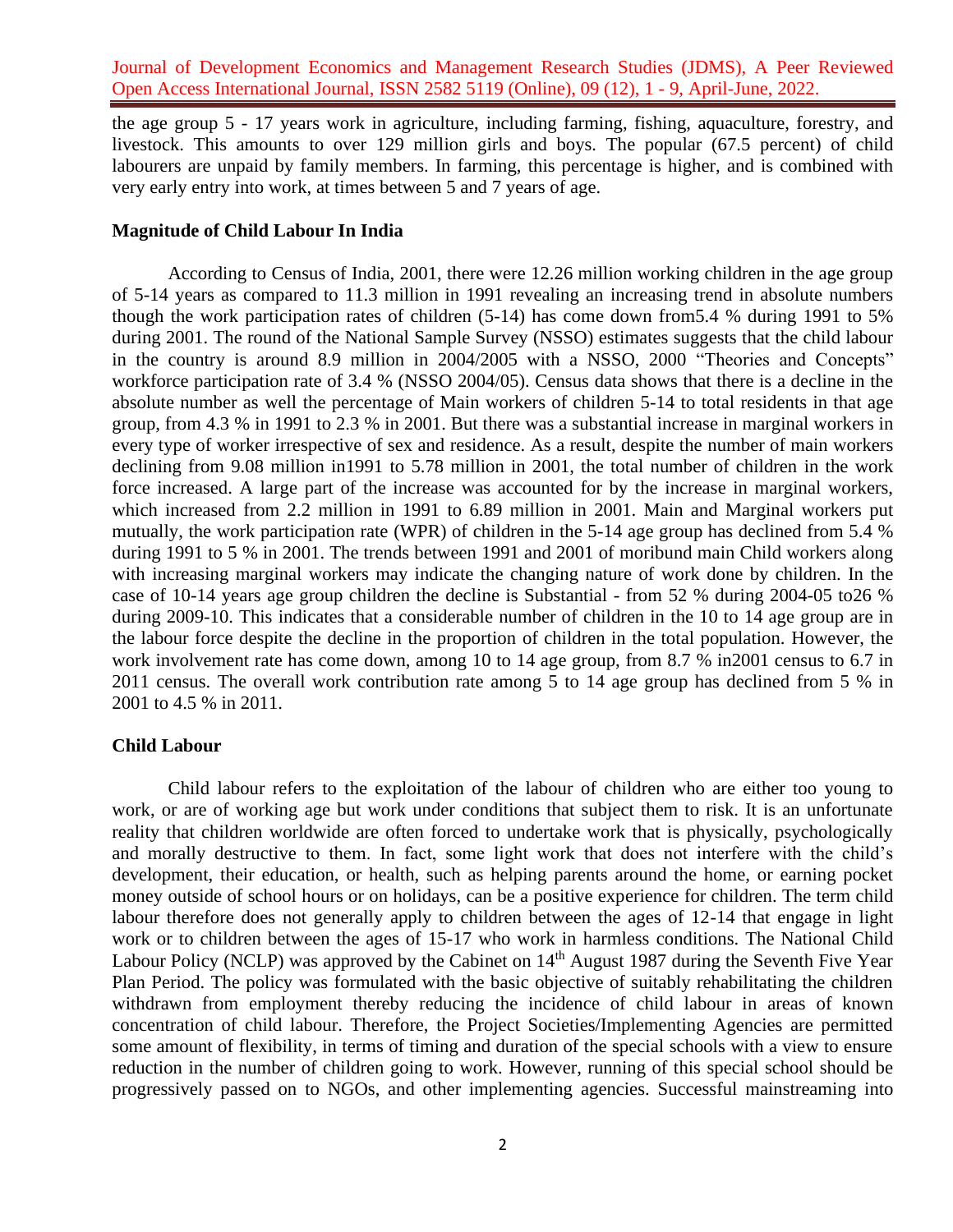the age group 5 - 17 years work in agriculture, including farming, fishing, aquaculture, forestry, and livestock. This amounts to over 129 million girls and boys. The popular (67.5 percent) of child labourers are unpaid by family members. In farming, this percentage is higher, and is combined with very early entry into work, at times between 5 and 7 years of age.

## **Magnitude of Child Labour In India**

According to Census of India, 2001, there were 12.26 million working children in the age group of 5-14 years as compared to 11.3 million in 1991 revealing an increasing trend in absolute numbers though the work participation rates of children (5-14) has come down from5.4 % during 1991 to 5% during 2001. The round of the National Sample Survey (NSSO) estimates suggests that the child labour in the country is around 8.9 million in 2004/2005 with a NSSO, 2000 "Theories and Concepts" workforce participation rate of 3.4 % (NSSO 2004/05). Census data shows that there is a decline in the absolute number as well the percentage of Main workers of children 5-14 to total residents in that age group, from 4.3 % in 1991 to 2.3 % in 2001. But there was a substantial increase in marginal workers in every type of worker irrespective of sex and residence. As a result, despite the number of main workers declining from 9.08 million in1991 to 5.78 million in 2001, the total number of children in the work force increased. A large part of the increase was accounted for by the increase in marginal workers, which increased from 2.2 million in 1991 to 6.89 million in 2001. Main and Marginal workers put mutually, the work participation rate (WPR) of children in the 5-14 age group has declined from 5.4 % during 1991 to 5 % in 2001. The trends between 1991 and 2001 of moribund main Child workers along with increasing marginal workers may indicate the changing nature of work done by children. In the case of 10-14 years age group children the decline is Substantial - from 52 % during 2004-05 to26 % during 2009-10. This indicates that a considerable number of children in the 10 to 14 age group are in the labour force despite the decline in the proportion of children in the total population. However, the work involvement rate has come down, among 10 to 14 age group, from 8.7 % in2001 census to 6.7 in 2011 census. The overall work contribution rate among 5 to 14 age group has declined from 5 % in 2001 to 4.5 % in 2011.

### **Child Labour**

Child labour refers to the exploitation of the labour of children who are either too young to work, or are of working age but work under conditions that subject them to risk. It is an unfortunate reality that children worldwide are often forced to undertake work that is physically, psychologically and morally destructive to them. In fact, some light work that does not interfere with the child's development, their education, or health, such as helping parents around the home, or earning pocket money outside of school hours or on holidays, can be a positive experience for children. The term child labour therefore does not generally apply to children between the ages of 12-14 that engage in light work or to children between the ages of 15-17 who work in harmless conditions. The National Child Labour Policy (NCLP) was approved by the Cabinet on 14<sup>th</sup> August 1987 during the Seventh Five Year Plan Period. The policy was formulated with the basic objective of suitably rehabilitating the children withdrawn from employment thereby reducing the incidence of child labour in areas of known concentration of child labour. Therefore, the Project Societies/Implementing Agencies are permitted some amount of flexibility, in terms of timing and duration of the special schools with a view to ensure reduction in the number of children going to work. However, running of this special school should be progressively passed on to NGOs, and other implementing agencies. Successful mainstreaming into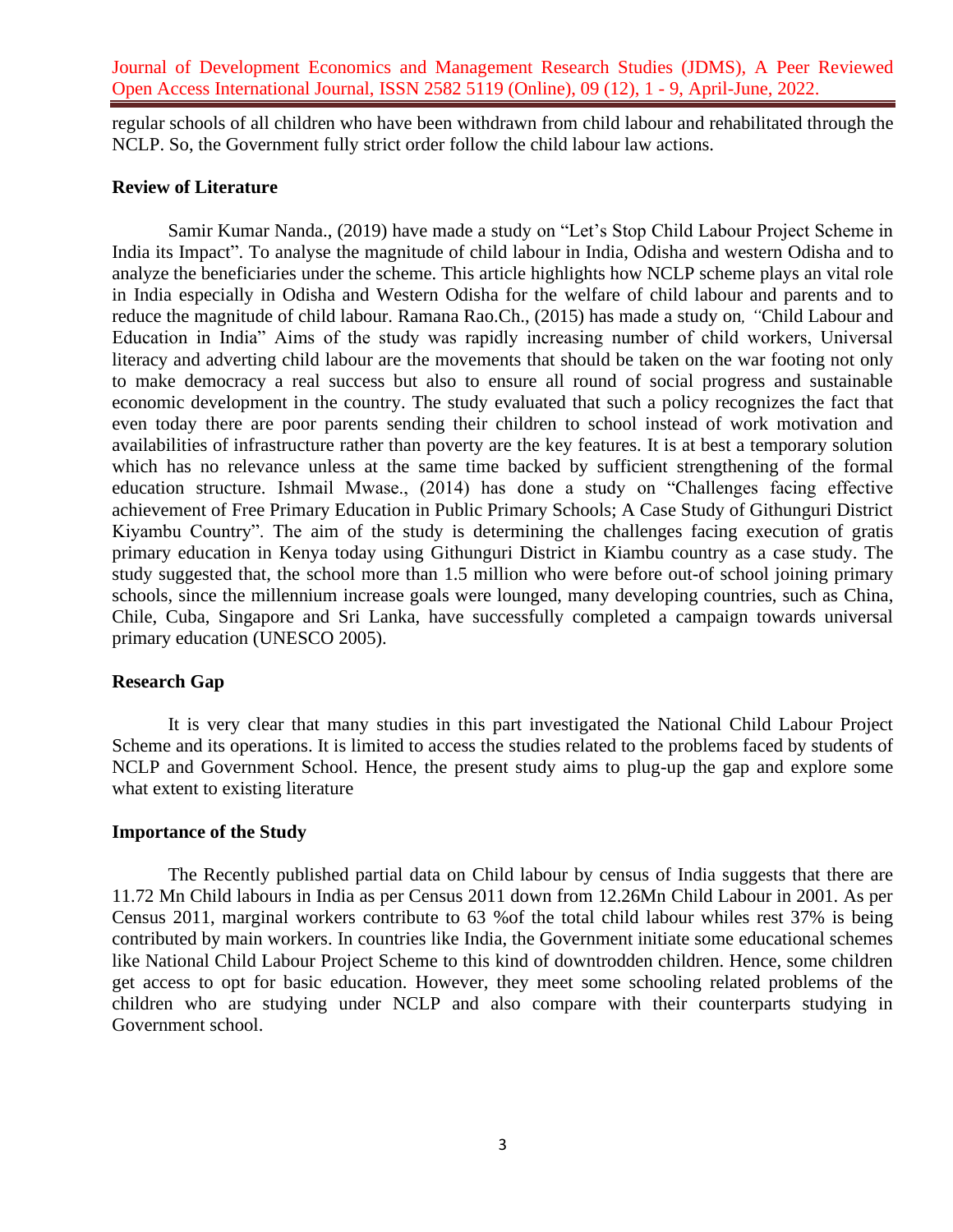regular schools of all children who have been withdrawn from child labour and rehabilitated through the NCLP. So, the Government fully strict order follow the child labour law actions.

### **Review of Literature**

Samir Kumar Nanda., (2019) have made a study on "Let's Stop Child Labour Project Scheme in India its Impact". To analyse the magnitude of child labour in India, Odisha and western Odisha and to analyze the beneficiaries under the scheme. This article highlights how NCLP scheme plays an vital role in India especially in Odisha and Western Odisha for the welfare of child labour and parents and to reduce the magnitude of child labour. Ramana Rao.Ch., (2015) has made a study on*, "*Child Labour and Education in India" Aims of the study was rapidly increasing number of child workers, Universal literacy and adverting child labour are the movements that should be taken on the war footing not only to make democracy a real success but also to ensure all round of social progress and sustainable economic development in the country. The study evaluated that such a policy recognizes the fact that even today there are poor parents sending their children to school instead of work motivation and availabilities of infrastructure rather than poverty are the key features. It is at best a temporary solution which has no relevance unless at the same time backed by sufficient strengthening of the formal education structure. Ishmail Mwase., (2014) has done a study on "Challenges facing effective achievement of Free Primary Education in Public Primary Schools; A Case Study of Githunguri District Kiyambu Country". The aim of the study is determining the challenges facing execution of gratis primary education in Kenya today using Githunguri District in Kiambu country as a case study. The study suggested that, the school more than 1.5 million who were before out-of school joining primary schools, since the millennium increase goals were lounged, many developing countries, such as China, Chile, Cuba, Singapore and Sri Lanka, have successfully completed a campaign towards universal primary education (UNESCO 2005).

#### **Research Gap**

It is very clear that many studies in this part investigated the National Child Labour Project Scheme and its operations. It is limited to access the studies related to the problems faced by students of NCLP and Government School. Hence, the present study aims to plug-up the gap and explore some what extent to existing literature

### **Importance of the Study**

The Recently published partial data on Child labour by census of India suggests that there are 11.72 Mn Child labours in India as per Census 2011 down from 12.26Mn Child Labour in 2001. As per Census 2011, marginal workers contribute to 63 %of the total child labour whiles rest 37% is being contributed by main workers. In countries like India, the Government initiate some educational schemes like National Child Labour Project Scheme to this kind of downtrodden children. Hence, some children get access to opt for basic education. However, they meet some schooling related problems of the children who are studying under NCLP and also compare with their counterparts studying in Government school.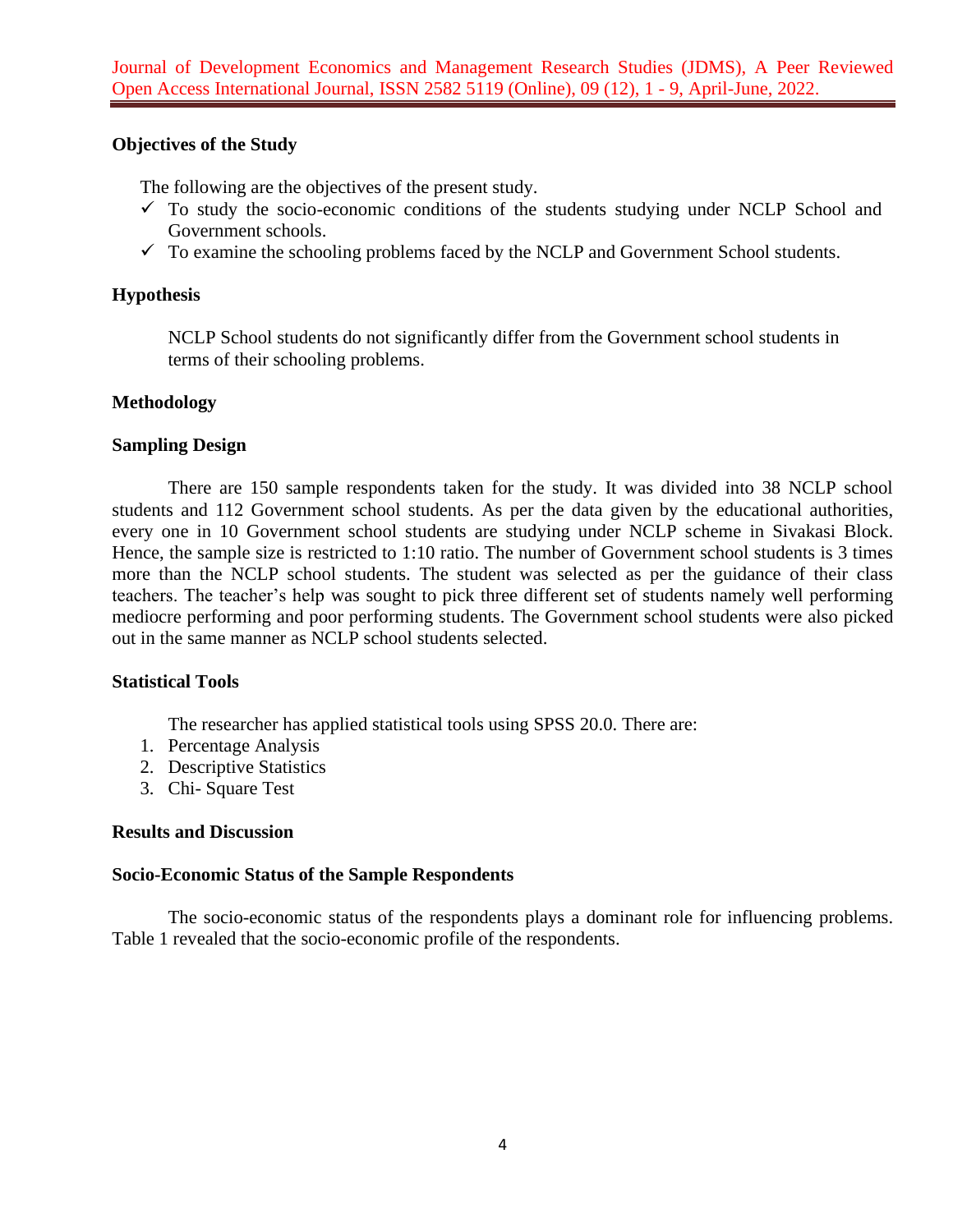# **Objectives of the Study**

The following are the objectives of the present study.

- $\checkmark$  To study the socio-economic conditions of the students studying under NCLP School and Government schools.
- $\checkmark$  To examine the schooling problems faced by the NCLP and Government School students.

# **Hypothesis**

NCLP School students do not significantly differ from the Government school students in terms of their schooling problems.

# **Methodology**

# **Sampling Design**

There are 150 sample respondents taken for the study. It was divided into 38 NCLP school students and 112 Government school students. As per the data given by the educational authorities, every one in 10 Government school students are studying under NCLP scheme in Sivakasi Block. Hence, the sample size is restricted to 1:10 ratio. The number of Government school students is 3 times more than the NCLP school students. The student was selected as per the guidance of their class teachers. The teacher's help was sought to pick three different set of students namely well performing mediocre performing and poor performing students. The Government school students were also picked out in the same manner as NCLP school students selected.

# **Statistical Tools**

The researcher has applied statistical tools using SPSS 20.0. There are:

- 1. Percentage Analysis
- 2. Descriptive Statistics
- 3. Chi- Square Test

# **Results and Discussion**

# **Socio-Economic Status of the Sample Respondents**

The socio-economic status of the respondents plays a dominant role for influencing problems. Table 1 revealed that the socio-economic profile of the respondents.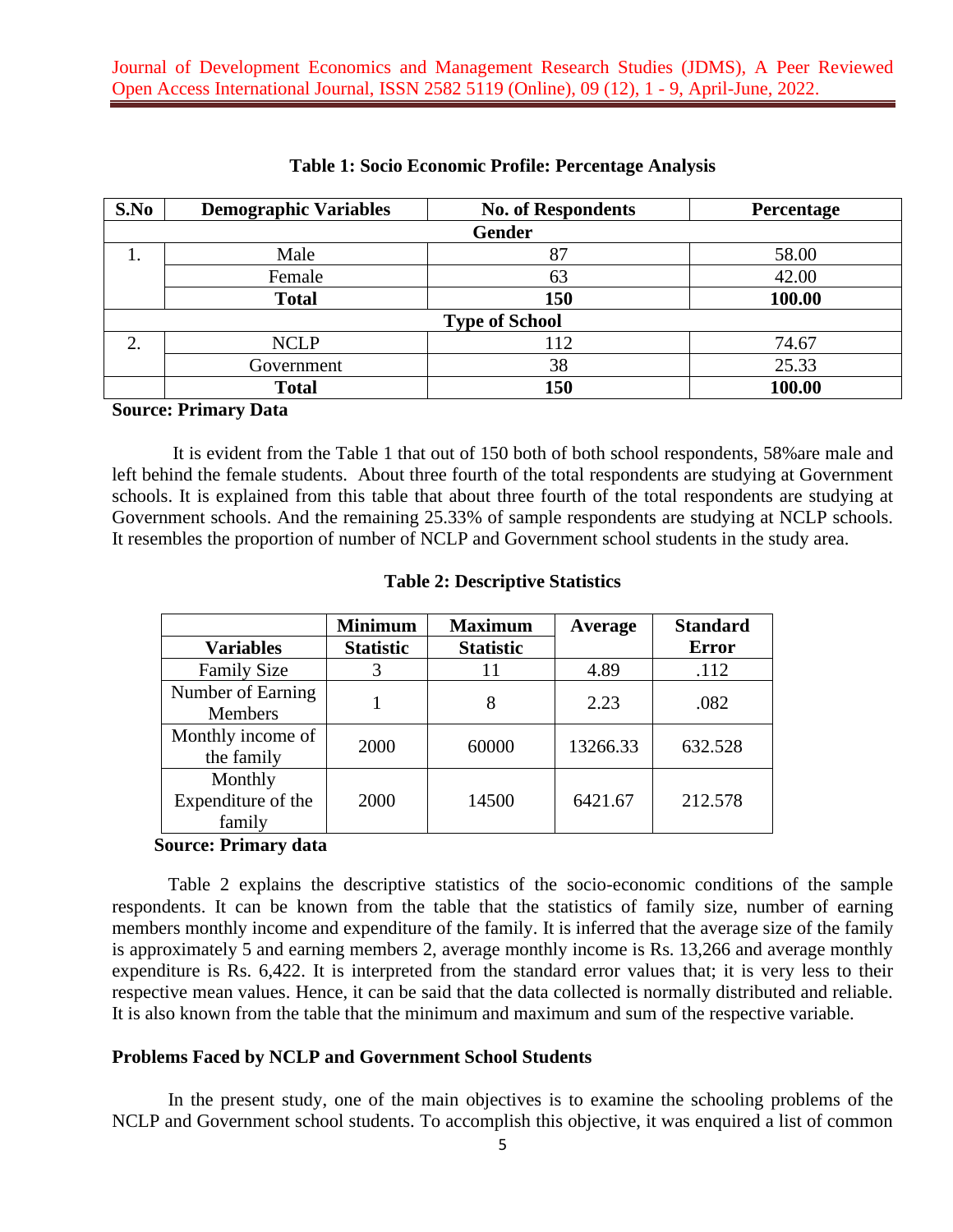| S.No                  | <b>Demographic Variables</b> | <b>No. of Respondents</b> | Percentage |  |  |  |
|-----------------------|------------------------------|---------------------------|------------|--|--|--|
|                       |                              | <b>Gender</b>             |            |  |  |  |
|                       | Male                         | 87                        | 58.00      |  |  |  |
|                       | Female                       | 63                        | 42.00      |  |  |  |
|                       | <b>Total</b>                 | 150                       | 100.00     |  |  |  |
| <b>Type of School</b> |                              |                           |            |  |  |  |
| ↑                     | <b>NCLP</b>                  | 112                       | 74.67      |  |  |  |
|                       | Government                   | 38                        | 25.33      |  |  |  |
|                       | <b>Total</b>                 | 150                       | 100.00     |  |  |  |

### **Table 1: Socio Economic Profile: Percentage Analysis**

### **Source: Primary Data**

It is evident from the Table 1 that out of 150 both of both school respondents, 58%are male and left behind the female students. About three fourth of the total respondents are studying at Government schools. It is explained from this table that about three fourth of the total respondents are studying at Government schools. And the remaining 25.33% of sample respondents are studying at NCLP schools. It resembles the proportion of number of NCLP and Government school students in the study area.

|                                         | <b>Minimum</b>   | <b>Maximum</b>   | Average  | <b>Standard</b> |
|-----------------------------------------|------------------|------------------|----------|-----------------|
| <b>Variables</b>                        | <b>Statistic</b> | <b>Statistic</b> |          | <b>Error</b>    |
| <b>Family Size</b>                      | 3                | 11               | 4.89     | .112            |
| Number of Earning<br><b>Members</b>     |                  | 8                | 2.23     | .082            |
| Monthly income of<br>the family         | 2000             | 60000            | 13266.33 | 632.528         |
| Monthly<br>Expenditure of the<br>family | 2000             | 14500            | 6421.67  | 212.578         |

### **Table 2: Descriptive Statistics**

#### **Source: Primary data**

Table 2 explains the descriptive statistics of the socio-economic conditions of the sample respondents. It can be known from the table that the statistics of family size, number of earning members monthly income and expenditure of the family. It is inferred that the average size of the family is approximately 5 and earning members 2, average monthly income is Rs. 13,266 and average monthly expenditure is Rs. 6,422. It is interpreted from the standard error values that; it is very less to their respective mean values. Hence, it can be said that the data collected is normally distributed and reliable. It is also known from the table that the minimum and maximum and sum of the respective variable.

### **Problems Faced by NCLP and Government School Students**

In the present study, one of the main objectives is to examine the schooling problems of the NCLP and Government school students. To accomplish this objective, it was enquired a list of common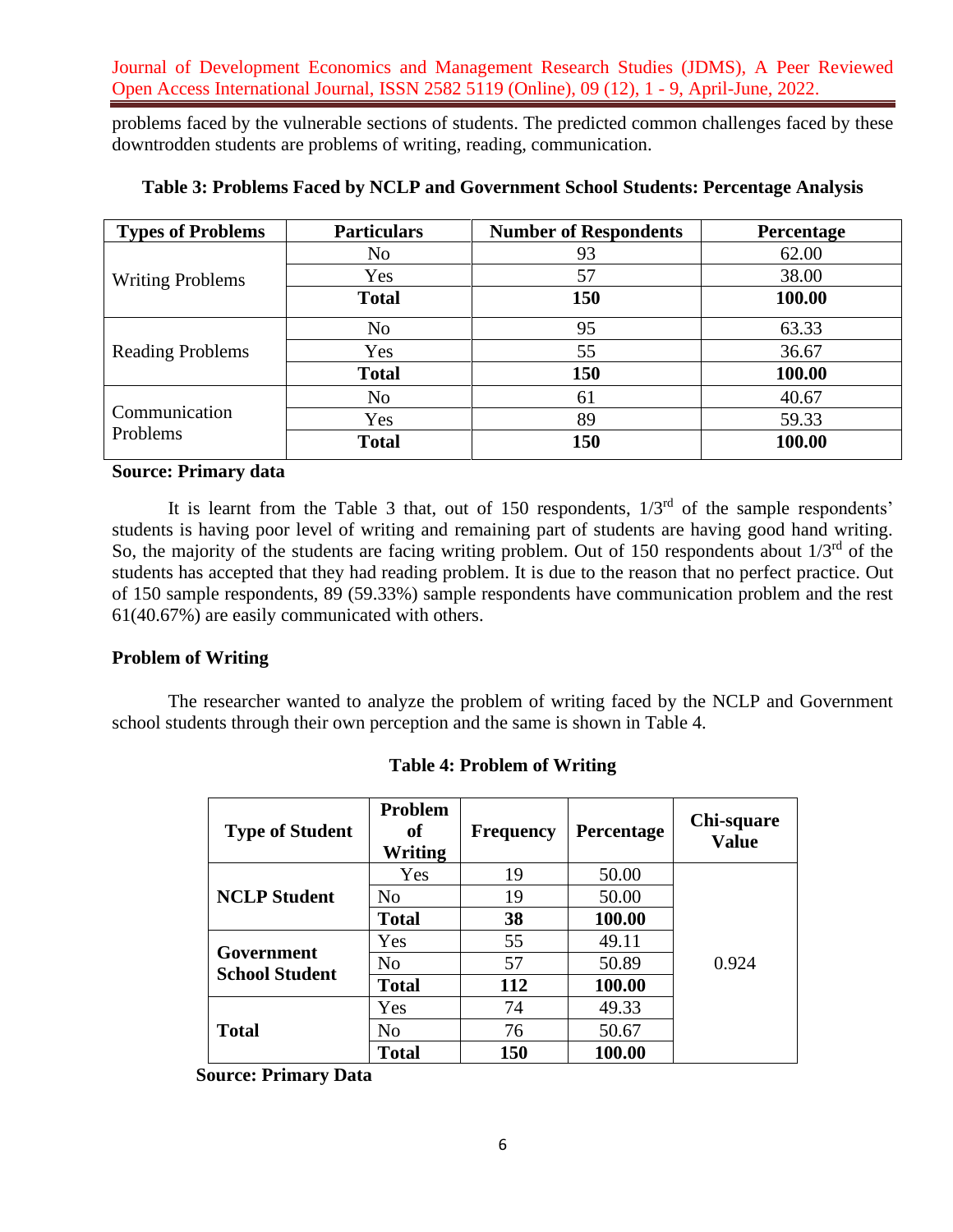problems faced by the vulnerable sections of students. The predicted common challenges faced by these downtrodden students are problems of writing, reading, communication.

| <b>Types of Problems</b>  | <b>Particulars</b> | <b>Number of Respondents</b> | Percentage |
|---------------------------|--------------------|------------------------------|------------|
|                           | N <sub>o</sub>     | 93                           | 62.00      |
| <b>Writing Problems</b>   | Yes                | 57                           | 38.00      |
|                           | <b>Total</b>       | 150                          | 100.00     |
| <b>Reading Problems</b>   | N <sub>o</sub>     | 95                           | 63.33      |
|                           | Yes                | 55                           | 36.67      |
|                           | <b>Total</b>       | 150                          | 100.00     |
|                           | N <sub>o</sub>     | 61                           | 40.67      |
| Communication<br>Problems | Yes                | 89                           | 59.33      |
|                           | <b>Total</b>       | 150                          | 100.00     |

### **Table 3: Problems Faced by NCLP and Government School Students: Percentage Analysis**

# **Source: Primary data**

It is learnt from the Table 3 that, out of 150 respondents,  $1/3<sup>rd</sup>$  of the sample respondents' students is having poor level of writing and remaining part of students are having good hand writing. So, the majority of the students are facing writing problem. Out of 150 respondents about  $1/3<sup>rd</sup>$  of the students has accepted that they had reading problem. It is due to the reason that no perfect practice. Out of 150 sample respondents, 89 (59.33%) sample respondents have communication problem and the rest 61(40.67%) are easily communicated with others.

### **Problem of Writing**

The researcher wanted to analyze the problem of writing faced by the NCLP and Government school students through their own perception and the same is shown in Table 4.

| <b>Type of Student</b>              | Problem<br>of<br>Writing | <b>Frequency</b> | Percentage | Chi-square<br><b>Value</b> |
|-------------------------------------|--------------------------|------------------|------------|----------------------------|
| <b>NCLP</b> Student                 | Yes                      | 19               | 50.00      |                            |
|                                     | N <sub>0</sub>           | 19               | 50.00      |                            |
|                                     | <b>Total</b>             | 38               | 100.00     |                            |
| Government<br><b>School Student</b> | Yes                      | 55               | 49.11      |                            |
|                                     | N <sub>0</sub>           | 57               | 50.89      | 0.924                      |
|                                     | <b>Total</b>             | 112              | 100.00     |                            |
| <b>Total</b>                        | Yes                      | 74               | 49.33      |                            |
|                                     | N <sub>0</sub>           | 76               | 50.67      |                            |
|                                     | <b>Total</b>             | 150              | 100.00     |                            |

 **Source: Primary Data**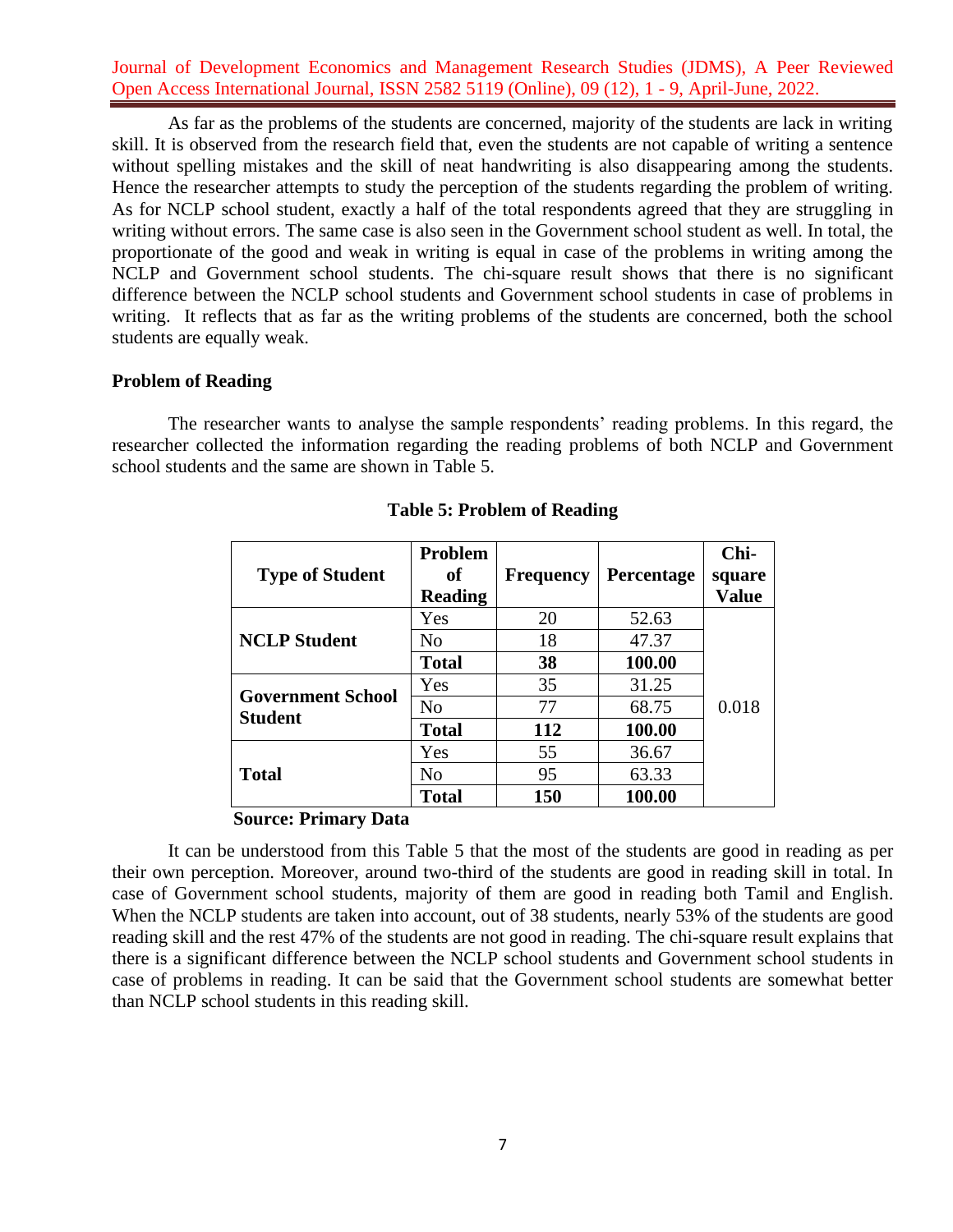As far as the problems of the students are concerned, majority of the students are lack in writing skill. It is observed from the research field that, even the students are not capable of writing a sentence without spelling mistakes and the skill of neat handwriting is also disappearing among the students. Hence the researcher attempts to study the perception of the students regarding the problem of writing. As for NCLP school student, exactly a half of the total respondents agreed that they are struggling in writing without errors. The same case is also seen in the Government school student as well. In total, the proportionate of the good and weak in writing is equal in case of the problems in writing among the NCLP and Government school students. The chi-square result shows that there is no significant difference between the NCLP school students and Government school students in case of problems in writing. It reflects that as far as the writing problems of the students are concerned, both the school students are equally weak.

### **Problem of Reading**

The researcher wants to analyse the sample respondents' reading problems. In this regard, the researcher collected the information regarding the reading problems of both NCLP and Government school students and the same are shown in Table 5.

| <b>Type of Student</b>                     | Problem<br>of<br><b>Reading</b> | <b>Frequency</b> | <b>Percentage</b> | Chi-<br>square<br><b>Value</b> |
|--------------------------------------------|---------------------------------|------------------|-------------------|--------------------------------|
| <b>NCLP Student</b>                        | Yes                             | 20               | 52.63             |                                |
|                                            | N <sub>0</sub>                  | 18               | 47.37             |                                |
|                                            | <b>Total</b>                    | 38               | 100.00            |                                |
| <b>Government School</b><br><b>Student</b> | Yes                             | 35               | 31.25             |                                |
|                                            | N <sub>o</sub>                  | 77               | 68.75             | 0.018                          |
|                                            | <b>Total</b>                    | 112              | 100.00            |                                |
| <b>Total</b>                               | Yes                             | 55               | 36.67             |                                |
|                                            | N <sub>0</sub>                  | 95               | 63.33             |                                |
|                                            | <b>Total</b>                    | 150              | 100.00            |                                |

### **Table 5: Problem of Reading**

#### **Source: Primary Data**

It can be understood from this Table 5 that the most of the students are good in reading as per their own perception. Moreover, around two-third of the students are good in reading skill in total. In case of Government school students, majority of them are good in reading both Tamil and English. When the NCLP students are taken into account, out of 38 students, nearly 53% of the students are good reading skill and the rest 47% of the students are not good in reading. The chi-square result explains that there is a significant difference between the NCLP school students and Government school students in case of problems in reading. It can be said that the Government school students are somewhat better than NCLP school students in this reading skill.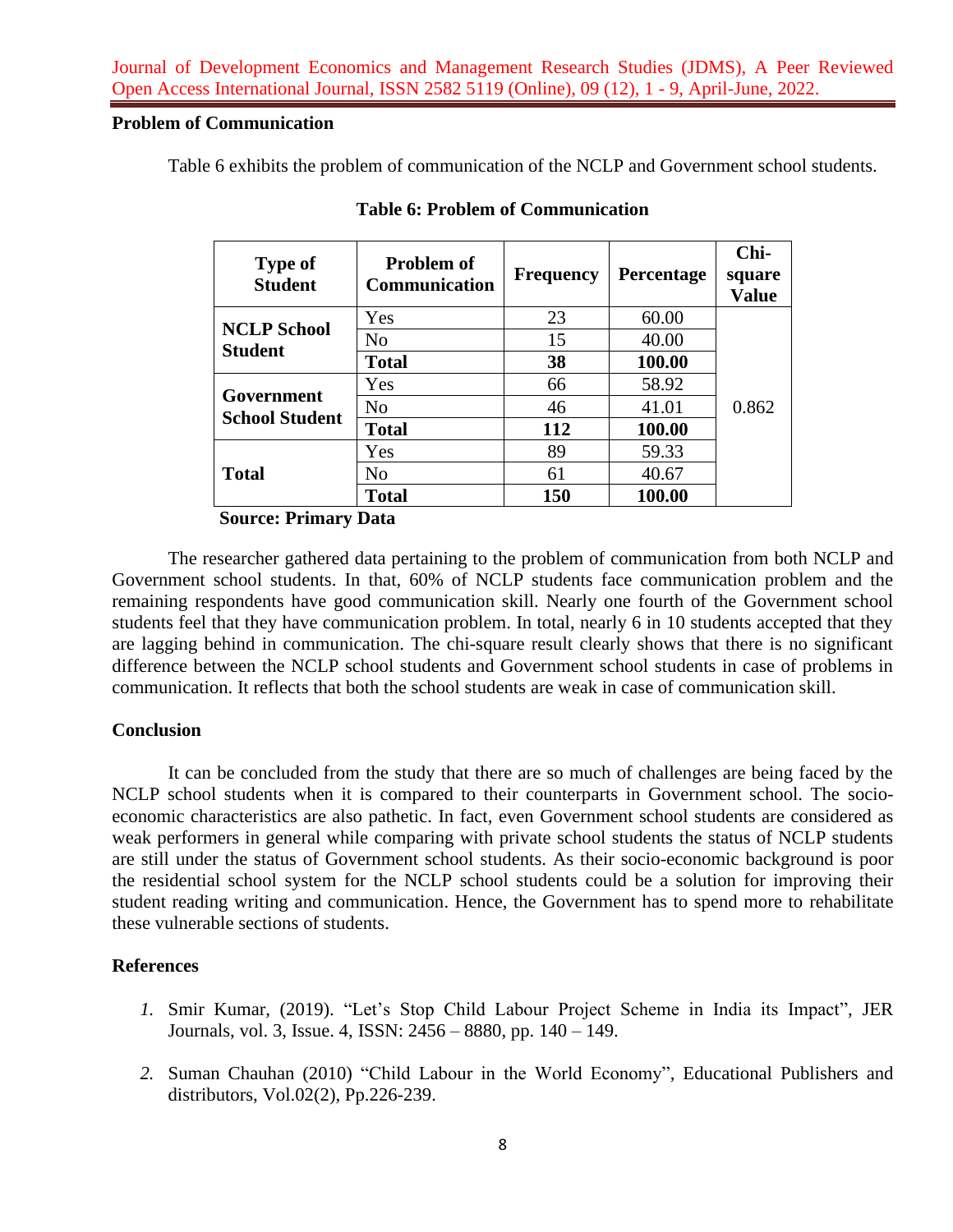# **Problem of Communication**

Table 6 exhibits the problem of communication of the NCLP and Government school students.

| <b>Type of</b><br><b>Student</b>     | <b>Problem of</b><br><b>Communication</b> | <b>Frequency</b> | Percentage | Chi-<br>square<br><b>Value</b> |
|--------------------------------------|-------------------------------------------|------------------|------------|--------------------------------|
| <b>NCLP School</b><br><b>Student</b> | Yes                                       | 23               | 60.00      |                                |
|                                      | N <sub>o</sub>                            | 15               | 40.00      |                                |
|                                      | <b>Total</b>                              | 38               | 100.00     |                                |
| Government<br><b>School Student</b>  | Yes                                       | 66               | 58.92      |                                |
|                                      | N <sub>o</sub>                            | 46               | 41.01      | 0.862                          |
|                                      | <b>Total</b>                              | 112              | 100.00     |                                |
| <b>Total</b>                         | Yes                                       | 89               | 59.33      |                                |
|                                      | N <sub>0</sub>                            | 61               | 40.67      |                                |
|                                      | <b>Total</b>                              | 150              | 100.00     |                                |

**Table 6: Problem of Communication**

 **Source: Primary Data**

The researcher gathered data pertaining to the problem of communication from both NCLP and Government school students. In that, 60% of NCLP students face communication problem and the remaining respondents have good communication skill. Nearly one fourth of the Government school students feel that they have communication problem. In total, nearly 6 in 10 students accepted that they are lagging behind in communication. The chi-square result clearly shows that there is no significant difference between the NCLP school students and Government school students in case of problems in communication. It reflects that both the school students are weak in case of communication skill.

# **Conclusion**

It can be concluded from the study that there are so much of challenges are being faced by the NCLP school students when it is compared to their counterparts in Government school. The socioeconomic characteristics are also pathetic. In fact, even Government school students are considered as weak performers in general while comparing with private school students the status of NCLP students are still under the status of Government school students. As their socio-economic background is poor the residential school system for the NCLP school students could be a solution for improving their student reading writing and communication. Hence, the Government has to spend more to rehabilitate these vulnerable sections of students.

# **References**

- *1.* Smir Kumar, (2019). "Let's Stop Child Labour Project Scheme in India its Impact", JER Journals, vol. 3, Issue. 4, ISSN: 2456 – 8880, pp. 140 – 149.
- *2.* Suman Chauhan (2010) "Child Labour in the World Economy", Educational Publishers and distributors, Vol.02(2), Pp.226-239.